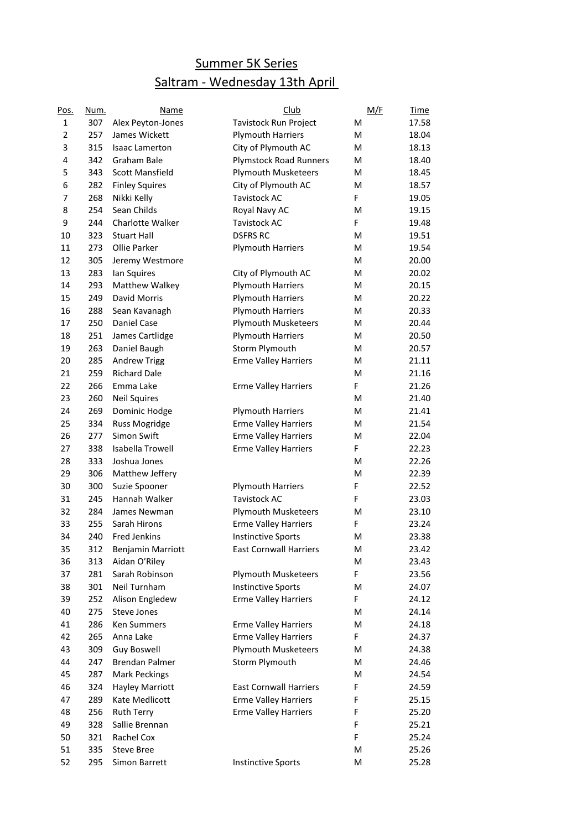## Summer 5K Series Saltram - Wednesday 13th April

| Pos.           | Num. | Name                   | Club                          | M/F | <b>Time</b> |
|----------------|------|------------------------|-------------------------------|-----|-------------|
| 1              | 307  | Alex Peyton-Jones      | Tavistock Run Project         | M   | 17.58       |
| $\overline{2}$ | 257  | James Wickett          | <b>Plymouth Harriers</b>      | M   | 18.04       |
| 3              | 315  | <b>Isaac Lamerton</b>  | City of Plymouth AC           | M   | 18.13       |
| 4              | 342  | Graham Bale            | <b>Plymstock Road Runners</b> | M   | 18.40       |
| 5              | 343  | <b>Scott Mansfield</b> | <b>Plymouth Musketeers</b>    | M   | 18.45       |
| 6              | 282  | <b>Finley Squires</b>  | City of Plymouth AC           | M   | 18.57       |
| 7              | 268  | Nikki Kelly            | <b>Tavistock AC</b>           | F   | 19.05       |
| 8              | 254  | Sean Childs            | Royal Navy AC                 | M   | 19.15       |
| 9              | 244  | Charlotte Walker       | <b>Tavistock AC</b>           | F   | 19.48       |
| 10             | 323  | <b>Stuart Hall</b>     | <b>DSFRS RC</b>               | м   | 19.51       |
| 11             | 273  | Ollie Parker           | <b>Plymouth Harriers</b>      | м   | 19.54       |
| 12             | 305  | Jeremy Westmore        |                               | м   | 20.00       |
| 13             | 283  | lan Squires            | City of Plymouth AC           | м   | 20.02       |
| 14             | 293  | Matthew Walkey         | <b>Plymouth Harriers</b>      | м   | 20.15       |
| 15             | 249  | David Morris           | <b>Plymouth Harriers</b>      | м   | 20.22       |
| 16             | 288  | Sean Kavanagh          | <b>Plymouth Harriers</b>      | м   | 20.33       |
| 17             | 250  | <b>Daniel Case</b>     | Plymouth Musketeers           | м   | 20.44       |
| 18             | 251  | James Cartlidge        | <b>Plymouth Harriers</b>      | м   | 20.50       |
| 19             | 263  | Daniel Baugh           | Storm Plymouth                | м   | 20.57       |
| 20             | 285  | <b>Andrew Trigg</b>    | <b>Erme Valley Harriers</b>   | M   | 21.11       |
| 21             | 259  | <b>Richard Dale</b>    |                               | м   | 21.16       |
| 22             | 266  | Emma Lake              | <b>Erme Valley Harriers</b>   | F   | 21.26       |
| 23             | 260  | <b>Neil Squires</b>    |                               | M   | 21.40       |
| 24             | 269  | Dominic Hodge          | <b>Plymouth Harriers</b>      | M   | 21.41       |
| 25             | 334  | Russ Mogridge          | <b>Erme Valley Harriers</b>   | M   | 21.54       |
| 26             | 277  | Simon Swift            | <b>Erme Valley Harriers</b>   | M   | 22.04       |
| 27             | 338  | Isabella Trowell       | <b>Erme Valley Harriers</b>   | F   | 22.23       |
| 28             | 333  | Joshua Jones           |                               | M   | 22.26       |
| 29             | 306  | Matthew Jeffery        |                               | M   | 22.39       |
| 30             | 300  | Suzie Spooner          | <b>Plymouth Harriers</b>      | F   | 22.52       |
| 31             | 245  | Hannah Walker          | <b>Tavistock AC</b>           | F   | 23.03       |
| 32             | 284  | James Newman           | <b>Plymouth Musketeers</b>    | M   | 23.10       |
| 33             | 255  | Sarah Hirons           | <b>Erme Valley Harriers</b>   | F   | 23.24       |
| 34             | 240  | <b>Fred Jenkins</b>    | <b>Instinctive Sports</b>     | M   | 23.38       |
| 35             | 312  | Benjamin Marriott      | <b>East Cornwall Harriers</b> | Μ   | 23.42       |
| 36             | 313  | Aidan O'Riley          |                               | M   | 23.43       |
| 37             | 281  | Sarah Robinson         | <b>Plymouth Musketeers</b>    | F   | 23.56       |
| 38             | 301  | Neil Turnham           | <b>Instinctive Sports</b>     | M   | 24.07       |
| 39             | 252  | Alison Engledew        | <b>Erme Valley Harriers</b>   | F.  | 24.12       |
| 40             | 275  | Steve Jones            |                               | M   | 24.14       |
| 41             | 286  | Ken Summers            | <b>Erme Valley Harriers</b>   | M   | 24.18       |
| 42             | 265  | Anna Lake              | <b>Erme Valley Harriers</b>   | F.  | 24.37       |
| 43             | 309  | Guy Boswell            | <b>Plymouth Musketeers</b>    | Μ   | 24.38       |
| 44             | 247  | Brendan Palmer         | Storm Plymouth                | М   | 24.46       |
| 45             | 287  | <b>Mark Peckings</b>   |                               | M   | 24.54       |
| 46             | 324  | <b>Hayley Marriott</b> | <b>East Cornwall Harriers</b> | F   | 24.59       |
| 47             | 289  | Kate Medlicott         | <b>Erme Valley Harriers</b>   | F   | 25.15       |
| 48             | 256  | <b>Ruth Terry</b>      | <b>Erme Valley Harriers</b>   | F   | 25.20       |
| 49             | 328  | Sallie Brennan         |                               | F   | 25.21       |
| 50             | 321  | Rachel Cox             |                               | F   | 25.24       |
| 51             | 335  | <b>Steve Bree</b>      |                               | M   | 25.26       |
| 52             | 295  | Simon Barrett          | <b>Instinctive Sports</b>     | M   | 25.28       |
|                |      |                        |                               |     |             |